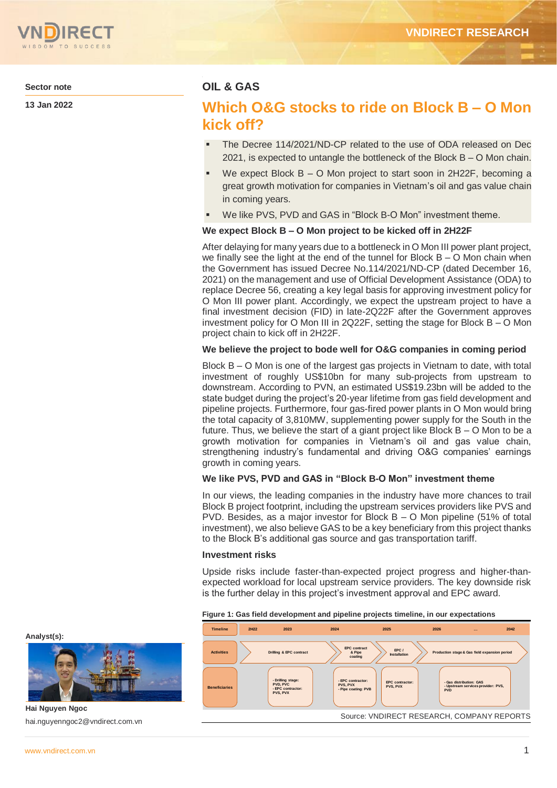

**Sector note**

**13 Jan 2022**

## **OIL & GAS**

# **Which O&G stocks to ride on Block B – O Mon kick off?**

- The Decree 114/2021/ND-CP related to the use of ODA released on Dec 2021, is expected to untangle the bottleneck of the Block B – O Mon chain.
- We expect Block B O Mon project to start soon in 2H22F, becoming a great growth motivation for companies in Vietnam's oil and gas value chain in coming years.
- We like PVS, PVD and GAS in "Block B-O Mon" investment theme.

### **We expect Block B – O Mon project to be kicked off in 2H22F**

After delaying for many years due to a bottleneck in O Mon III power plant project, we finally see the light at the end of the tunnel for Block B – O Mon chain when the Government has issued Decree No.114/2021/ND-CP (dated December 16, 2021) on the management and use of Official Development Assistance (ODA) to replace Decree 56, creating a key legal basis for approving investment policy for O Mon III power plant. Accordingly, we expect the upstream project to have a final investment decision (FID) in late-2Q22F after the Government approves investment policy for O Mon III in 2Q22F, setting the stage for Block B – O Mon project chain to kick off in 2H22F.

### **We believe the project to bode well for O&G companies in coming period**

Block B – O Mon is one of the largest gas projects in Vietnam to date, with total investment of roughly US\$10bn for many sub-projects from upstream to downstream. According to PVN, an estimated US\$19.23bn will be added to the state budget during the project's 20-year lifetime from gas field development and pipeline projects. Furthermore, four gas-fired power plants in O Mon would bring the total capacity of 3,810MW, supplementing power supply for the South in the future. Thus, we believe the start of a giant project like Block B – O Mon to be a growth motivation for companies in Vietnam's oil and gas value chain, strengthening industry's fundamental and driving O&G companies' earnings growth in coming years.

## **We like PVS, PVD and GAS in "Block B-O Mon" investment theme**

In our views, the leading companies in the industry have more chances to trail Block B project footprint, including the upstream services providers like PVS and PVD. Besides, as a major investor for Block B – O Mon pipeline (51% of total investment), we also believe GAS to be a key beneficiary from this project thanks to the Block B's additional gas source and gas transportation tariff.

#### **Investment risks**

Upside risks include faster-than-expected project progress and higher-thanexpected workload for local upstream service providers. The key downside risk is the further delay in this project's investment approval and EPC award.

#### **Figure 1: Gas field development and pipeline projects timeline, in our expectations**



**Analyst(s):**



**Hai Nguyen Ngoc** hai.nguyenngoc2@vndirect.com.vn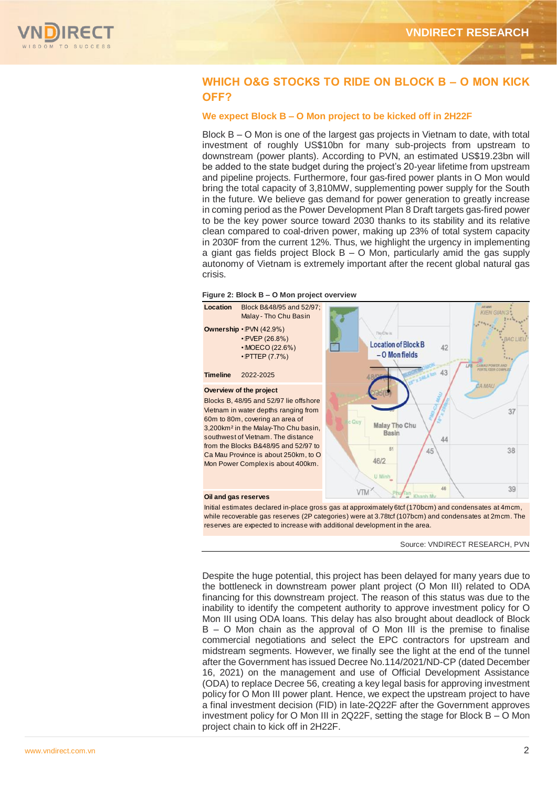

## **WHICH O&G STOCKS TO RIDE ON BLOCK B – O MON KICK OFF?**

### **We expect Block B – O Mon project to be kicked off in 2H22F**

Block B – O Mon is one of the largest gas projects in Vietnam to date, with total investment of roughly US\$10bn for many sub-projects from upstream to downstream (power plants). According to PVN, an estimated US\$19.23bn will be added to the state budget during the project's 20-year lifetime from upstream and pipeline projects. Furthermore, four gas-fired power plants in O Mon would bring the total capacity of 3,810MW, supplementing power supply for the South in the future. We believe gas demand for power generation to greatly increase in coming period as the Power Development Plan 8 Draft targets gas-fired power to be the key power source toward 2030 thanks to its stability and its relative clean compared to coal-driven power, making up 23% of total system capacity in 2030F from the current 12%. Thus, we highlight the urgency in implementing a giant gas fields project Block  $B - O$  Mon, particularly amid the gas supply autonomy of Vietnam is extremely important after the recent global natural gas crisis.





Initial estimates declared in-place gross gas at approximately 6tcf (170bcm) and condensates at 4mcm, while recoverable gas reserves (2P categories) were at 3.78tcf (107bcm) and condensates at 2mcm. The reserves are expected to increase with additional development in the area.

Source: VNDIRECT RESEARCH, PVN

Despite the huge potential, this project has been delayed for many years due to the bottleneck in downstream power plant project (O Mon III) related to ODA financing for this downstream project. The reason of this status was due to the inability to identify the competent authority to approve investment policy for O Mon III using ODA loans. This delay has also brought about deadlock of Block B – O Mon chain as the approval of O Mon III is the premise to finalise commercial negotiations and select the EPC contractors for upstream and midstream segments. However, we finally see the light at the end of the tunnel after the Government has issued Decree No.114/2021/ND-CP (dated December 16, 2021) on the management and use of Official Development Assistance (ODA) to replace Decree 56, creating a key legal basis for approving investment policy for O Mon III power plant. Hence, we expect the upstream project to have a final investment decision (FID) in late-2Q22F after the Government approves investment policy for O Mon III in 2Q22F, setting the stage for Block B – O Mon project chain to kick off in 2H22F.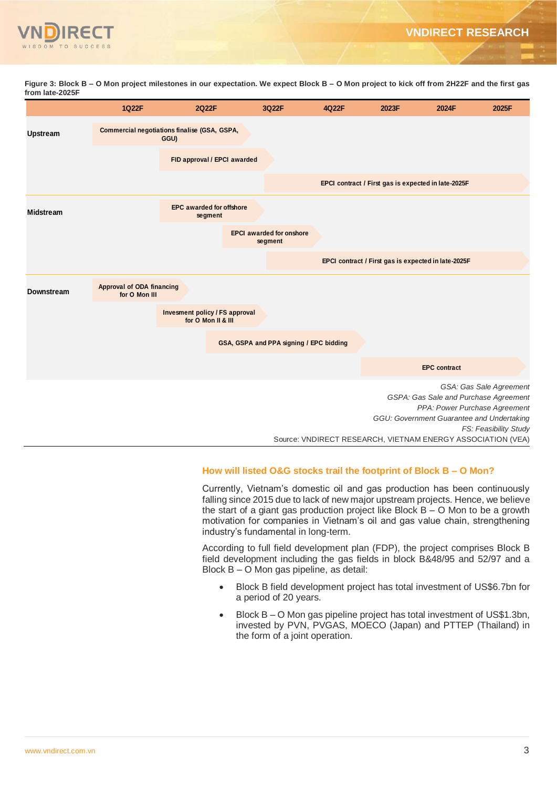

**Figure 3: Block B – O Mon project milestones in our expectation. We expect Block B – O Mon project to kick off from 2H22F and the first gas from late-2025F**



## **How will listed O&G stocks trail the footprint of Block B – O Mon?**

Currently, Vietnam's domestic oil and gas production has been continuously falling since 2015 due to lack of new major upstream projects. Hence, we believe the start of a giant gas production project like Block B – O Mon to be a growth motivation for companies in Vietnam's oil and gas value chain, strengthening industry's fundamental in long-term.

According to full field development plan (FDP), the project comprises Block B field development including the gas fields in block B&48/95 and 52/97 and a Block B – O Mon gas pipeline, as detail:

- Block B field development project has total investment of US\$6.7bn for a period of 20 years.
- Block B O Mon gas pipeline project has total investment of US\$1.3bn, invested by PVN, PVGAS, MOECO (Japan) and PTTEP (Thailand) in the form of a joint operation.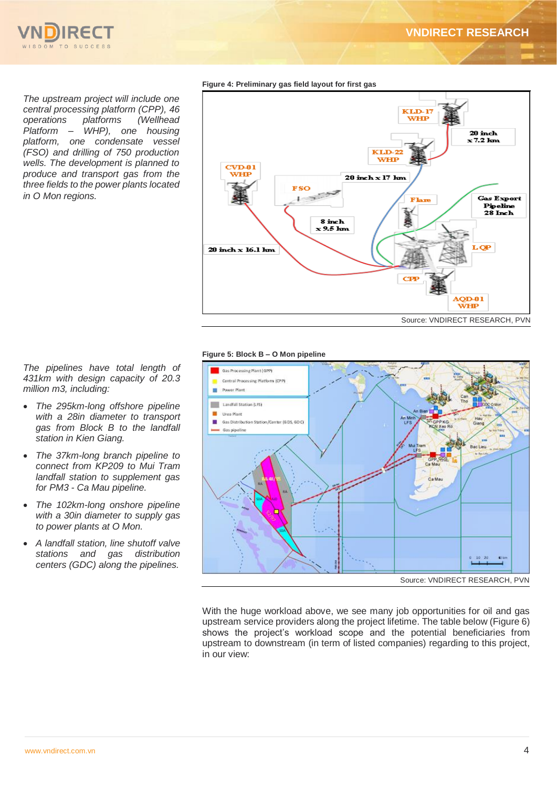**VNDIRECT RESEARCH**



*The upstream project will include one central processing platform (CPP), 46 operations platforms (Wellhead Platform – WHP), one housing platform, one condensate vessel (FSO) and drilling of 750 production wells. The development is planned to produce and transport gas from the three fields to the power plants located in O Mon regions.*

**Figure 4: Preliminary gas field layout for first gas**



#### **Figure 5: Block B – O Mon pipeline**



With the huge workload above, we see many job opportunities for oil and gas upstream service providers along the project lifetime. The table below (Figure 6) shows the project's workload scope and the potential beneficiaries from upstream to downstream (in term of listed companies) regarding to this project, in our view:

*The pipelines have total length of 431km with design capacity of 20.3 million m3, including:*

- *The 295km-long offshore pipeline with a 28in diameter to transport gas from Block B to the landfall station in Kien Giang.*
- *The 37km-long branch pipeline to connect from KP209 to Mui Tram landfall station to supplement gas for PM3 - Ca Mau pipeline.*
- *The 102km-long onshore pipeline with a 30in diameter to supply gas to power plants at O Mon.*
- *A landfall station, line shutoff valve stations and gas distribution centers (GDC) along the pipelines.*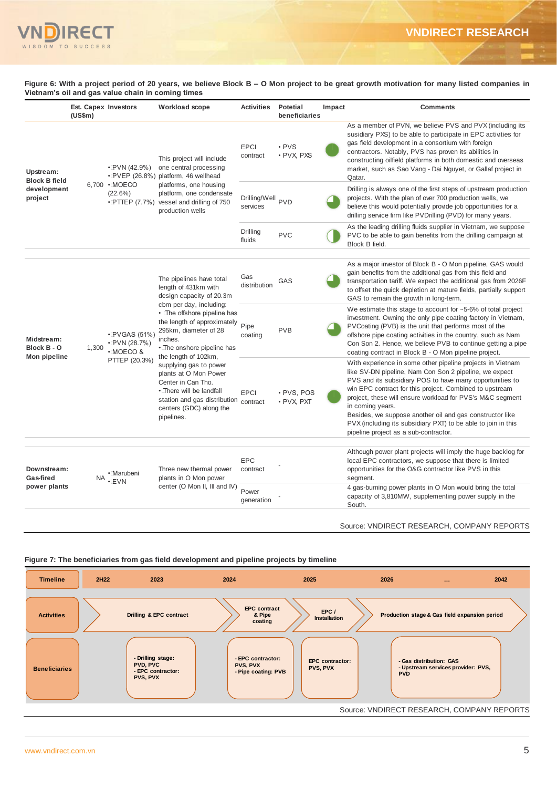

**Figure 6: With a project period of 20 years, we believe Block B – O Mon project to be great growth motivation for many listed companies in Vietnam's oil and gas value chain in coming times**

|                                                             | Est. Capex Investors<br>(US\$m) |                                                                     | Workload scope                                                                                                                                                                                                                                                                                                                                                                                                                                         | <b>Activities</b>                        | <b>Potetial</b><br>beneficiaries | Impact | <b>Comments</b>                                                                                                                                                                                                                                                                                                                                                                                                                                                                                    |
|-------------------------------------------------------------|---------------------------------|---------------------------------------------------------------------|--------------------------------------------------------------------------------------------------------------------------------------------------------------------------------------------------------------------------------------------------------------------------------------------------------------------------------------------------------------------------------------------------------------------------------------------------------|------------------------------------------|----------------------------------|--------|----------------------------------------------------------------------------------------------------------------------------------------------------------------------------------------------------------------------------------------------------------------------------------------------------------------------------------------------------------------------------------------------------------------------------------------------------------------------------------------------------|
| Upstream:<br><b>Block B field</b><br>development<br>project |                                 | $\cdot$ PVN (42.9%)<br>6.700 · MOECO<br>(22.6%)                     | This project will include<br>one central processing<br>• PVEP (26.8%) platform, 46 wellhead<br>platforms, one housing<br>platform, one condensate<br>• PTTEP (7.7%) vessel and drilling of 750<br>production wells                                                                                                                                                                                                                                     | <b>EPCI</b><br>contract                  | • PVS<br>• PVX PXS               |        | As a member of PVN, we believe PVS and PVX (including its<br>susidiary PXS) to be able to participate in EPC activities for<br>gas field development in a consortium with foreign<br>contractors. Notably, PVS has proven its abilities in<br>constructing oilfield platforms in both domestic and overseas<br>market, such as Sao Vang - Dai Nguyet, or Gallaf project in<br>Qatar.                                                                                                               |
|                                                             |                                 |                                                                     |                                                                                                                                                                                                                                                                                                                                                                                                                                                        | Drilling/Well <sub>PVD</sub><br>services |                                  |        | Drilling is always one of the first steps of upstream production<br>projects. With the plan of over 700 production wells, we<br>believe this would potentially provide job opportunities for a<br>drilling service firm like PVDrilling (PVD) for many years.                                                                                                                                                                                                                                      |
|                                                             |                                 |                                                                     |                                                                                                                                                                                                                                                                                                                                                                                                                                                        | Drilling<br>fluids                       | <b>PVC</b>                       |        | As the leading drilling fluids supplier in Vietnam, we suppose<br>PVC to be able to gain benefits from the drilling campaign at<br>Block B field.                                                                                                                                                                                                                                                                                                                                                  |
|                                                             |                                 |                                                                     |                                                                                                                                                                                                                                                                                                                                                                                                                                                        |                                          |                                  |        |                                                                                                                                                                                                                                                                                                                                                                                                                                                                                                    |
| Midstream:<br>Block B - O<br>Mon pipeline                   |                                 | $\cdot$ PVGAS (51%)<br>· IPVN (28.7%)<br>· MOECO &<br>PTTEP (20.3%) | The pipelines have total<br>length of 431km with<br>design capacity of 20.3m<br>cbm per day, including:<br>• The offshore pipeline has<br>the length of approximately<br>295km, diameter of 28<br>inches.<br>• The onshore pipeline has<br>the length of 102km,<br>supplying gas to power<br>plants at O Mon Power<br>Center in Can Tho.<br>• There will be landfall<br>station and gas distribution contract<br>centers (GDC) along the<br>pipelines. | Gas<br>distribution                      | GAS                              |        | As a major investor of Block B - O Mon pipeline, GAS would<br>gain benefits from the additional gas from this field and<br>transportation tariff. We expect the additional gas from 2026F<br>to offset the quick depletion at mature fields, partially support<br>GAS to remain the growth in long-term.                                                                                                                                                                                           |
|                                                             | 1,300                           |                                                                     |                                                                                                                                                                                                                                                                                                                                                                                                                                                        | Pipe<br>coating                          | <b>PVB</b>                       |        | We estimate this stage to account for $~5$ -6% of total project<br>investment. Owning the only pipe coating factory in Vietnam,<br>PVCoating (PVB) is the unit that performs most of the<br>offshore pipe coating activities in the country, such as Nam<br>Con Son 2. Hence, we believe PVB to continue getting a pipe<br>coating contract in Block B - O Mon pipeline project.                                                                                                                   |
|                                                             |                                 |                                                                     |                                                                                                                                                                                                                                                                                                                                                                                                                                                        | <b>EPCI</b>                              | · PVS, POS<br>· PVX PXT          |        | With experience in some other pipeline projects in Vietnam<br>like SV-DN pipeline, Nam Con Son 2 pipeline, we expect<br>PVS and its subsidiary POS to have many opportunities to<br>win EPC contract for this project. Combined to upstream<br>project, these will ensure workload for PVS's M&C segment<br>in coming years.<br>Besides, we suppose another oil and gas constructor like<br>PVX (including its subsidiary PXT) to be able to join in this<br>pipeline project as a sub-contractor. |
|                                                             |                                 |                                                                     |                                                                                                                                                                                                                                                                                                                                                                                                                                                        |                                          |                                  |        |                                                                                                                                                                                                                                                                                                                                                                                                                                                                                                    |
| Downstream:<br>Gas-fired<br>power plants                    | <b>NA</b>                       | • Marubeni<br><b>EVN</b>                                            | Three new thermal power<br>plants in O Mon power<br>center (O Mon II, III and IV)                                                                                                                                                                                                                                                                                                                                                                      | <b>EPC</b><br>contract                   |                                  |        | Although power plant projects will imply the huge backlog for<br>local EPC contractors, we suppose that there is limited<br>opportunities for the O&G contractor like PVS in this<br>segment.                                                                                                                                                                                                                                                                                                      |
|                                                             |                                 |                                                                     |                                                                                                                                                                                                                                                                                                                                                                                                                                                        | Power<br>generation                      |                                  |        | 4 gas-burning power plants in O Mon would bring the total<br>capacity of 3,810MW, supplementing power supply in the<br>South.                                                                                                                                                                                                                                                                                                                                                                      |

Source: VNDIRECT RESEARCH, COMPANY REPORTS



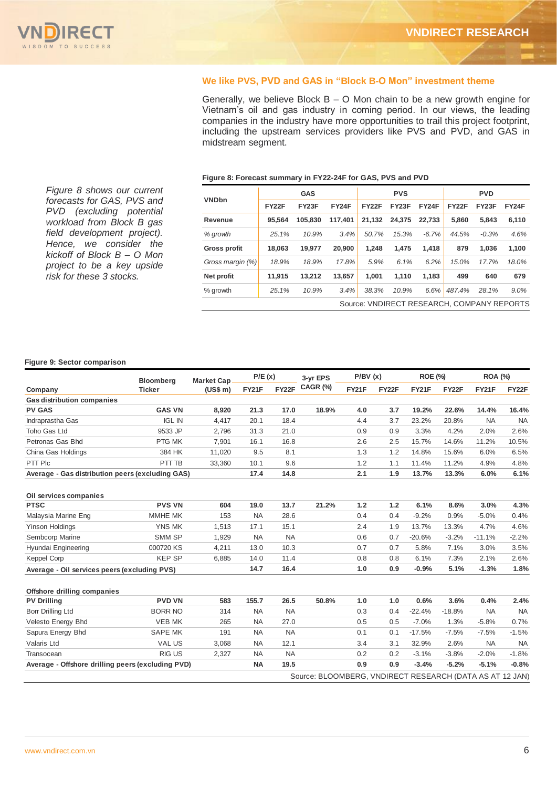#### **We like PVS, PVD and GAS in "Block B-O Mon" investment theme**

Generally, we believe Block B – O Mon chain to be a new growth engine for Vietnam's oil and gas industry in coming period. In our views, the leading companies in the industry have more opportunities to trail this project footprint, including the upstream services providers like PVS and PVD, and GAS in midstream segment.

*Figure 8 shows our current forecasts for GAS, PVS and PVD (excluding potential workload from Block B gas field development project). Hence, we consider the kickoff of Block B – O Mon project to be a key upside risk for these 3 stocks.*

#### **Figure 8: Forecast summary in FY22-24F for GAS, PVS and PVD**

|                                            |              | <b>GAS</b> |         | <b>PVS</b> |              | <b>PVD</b> |              |                    |       |
|--------------------------------------------|--------------|------------|---------|------------|--------------|------------|--------------|--------------------|-------|
| <b>VNDbn</b>                               | <b>FY22F</b> | FY23F      | FY24F   | FY22F      | <b>FY23F</b> | FY24F      | <b>FY22F</b> | FY <sub>23</sub> F | FY24F |
| Revenue                                    | 95.564       | 105.830    | 117.401 | 21.132     | 24.375       | 22.733     | 5.860        | 5.843              | 6.110 |
| % growth                                   | 25.1%        | 10.9%      | 3.4%    | 50.7%      | 15.3%        | $-6.7%$    | 44.5%        | $-0.3%$            | 4.6%  |
| <b>Gross profit</b>                        | 18.063       | 19.977     | 20,900  | 1.248      | 1.475        | 1.418      | 879          | 1.036              | 1.100 |
| Gross margin (%)                           | 18.9%        | 18.9%      | 17.8%   | 5.9%       | 6.1%         | 6.2%       | 15.0%        | 17.7%              | 18.0% |
| Net profit                                 | 11.915       | 13.212     | 13.657  | 1.001      | 1.110        | 1.183      | 499          | 640                | 679   |
| % growth                                   | 25.1%        | 10.9%      | 3.4%    | 38.3%      | 10.9%        | 6.6%       | 487.4%       | 28.1%              | 9.0%  |
| Source: VNDIRECT RESEARCH, COMPANY REPORTS |              |            |         |            |              |            |              |                    |       |

#### **Figure 9: Sector comparison**

|                                                   | Bloomberg<br>Ticker | <b>Market Cap</b> | P/E(x)    |           | 3-yr EPS                                                 | P/BV(x) |       | <b>ROE (%)</b> |          | <b>ROA (%)</b> |           |
|---------------------------------------------------|---------------------|-------------------|-----------|-----------|----------------------------------------------------------|---------|-------|----------------|----------|----------------|-----------|
| Company                                           |                     | (US\$ m)          | FY21F     | FY22F     | CAGR (%)                                                 | FY21F   | FY22F | <b>FY21F</b>   | FY22F    | FY21F          | FY22F     |
| <b>Gas distribution companies</b>                 |                     |                   |           |           |                                                          |         |       |                |          |                |           |
| <b>PV GAS</b>                                     | <b>GAS VN</b>       | 8,920             | 21.3      | 17.0      | 18.9%                                                    | 4.0     | 3.7   | 19.2%          | 22.6%    | 14.4%          | 16.4%     |
| Indraprastha Gas                                  | <b>IGL IN</b>       | 4,417             | 20.1      | 18.4      |                                                          | 4.4     | 3.7   | 23.2%          | 20.8%    | <b>NA</b>      | <b>NA</b> |
| Toho Gas Ltd                                      | 9533 JP             | 2,796             | 31.3      | 21.0      |                                                          | 0.9     | 0.9   | 3.3%           | 4.2%     | 2.0%           | 2.6%      |
| Petronas Gas Bhd                                  | PTG MK              | 7,901             | 16.1      | 16.8      |                                                          | 2.6     | 2.5   | 15.7%          | 14.6%    | 11.2%          | 10.5%     |
| China Gas Holdings                                | 384 HK              | 11,020            | 9.5       | 8.1       |                                                          | 1.3     | 1.2   | 14.8%          | 15.6%    | 6.0%           | 6.5%      |
| PTT Plc                                           | PTT TB              | 33,360            | 10.1      | 9.6       |                                                          | 1.2     | 1.1   | 11.4%          | 11.2%    | 4.9%           | 4.8%      |
| Average - Gas distribution peers (excluding GAS)  |                     |                   | 17.4      | 14.8      |                                                          | 2.1     | 1.9   | 13.7%          | 13.3%    | 6.0%           | 6.1%      |
| Oil services companies                            |                     |                   |           |           |                                                          |         |       |                |          |                |           |
| <b>PTSC</b>                                       | <b>PVS VN</b>       | 604               | 19.0      | 13.7      | 21.2%                                                    | 1.2     | 1.2   | 6.1%           | 8.6%     | 3.0%           | 4.3%      |
| Malaysia Marine Eng                               | MMHE MK             | 153               | <b>NA</b> | 28.6      |                                                          | 0.4     | 0.4   | $-9.2%$        | 0.9%     | $-5.0%$        | 0.4%      |
| <b>Yinson Holdings</b>                            | YNS MK              | 1,513             | 17.1      | 15.1      |                                                          | 2.4     | 1.9   | 13.7%          | 13.3%    | 4.7%           | 4.6%      |
| Sembcorp Marine                                   | SMM SP              | 1,929             | <b>NA</b> | <b>NA</b> |                                                          | 0.6     | 0.7   | $-20.6%$       | $-3.2%$  | $-11.1%$       | $-2.2%$   |
| Hyundai Engineering                               | 000720 KS           | 4,211             | 13.0      | 10.3      |                                                          | 0.7     | 0.7   | 5.8%           | 7.1%     | 3.0%           | 3.5%      |
| <b>Keppel Corp</b>                                | <b>KEP SP</b>       | 6,885             | 14.0      | 11.4      |                                                          | 0.8     | 0.8   | 6.1%           | 7.3%     | 2.1%           | 2.6%      |
| Average - Oil services peers (excluding PVS)      |                     |                   | 14.7      | 16.4      |                                                          | 1.0     | 0.9   | $-0.9%$        | 5.1%     | $-1.3%$        | 1.8%      |
| Offshore drilling companies                       |                     |                   |           |           |                                                          |         |       |                |          |                |           |
| <b>PV Drilling</b>                                | <b>PVD VN</b>       | 583               | 155.7     | 26.5      | 50.8%                                                    | 1.0     | 1.0   | 0.6%           | 3.6%     | 0.4%           | 2.4%      |
| <b>Borr Drilling Ltd</b>                          | <b>BORR NO</b>      | 314               | <b>NA</b> | <b>NA</b> |                                                          | 0.3     | 0.4   | $-22.4%$       | $-18.8%$ | <b>NA</b>      | <b>NA</b> |
| Velesto Energy Bhd                                | <b>VEB MK</b>       | 265               | <b>NA</b> | 27.0      |                                                          | 0.5     | 0.5   | $-7.0%$        | 1.3%     | $-5.8%$        | 0.7%      |
| Sapura Energy Bhd                                 | <b>SAPE MK</b>      | 191               | <b>NA</b> | <b>NA</b> |                                                          | 0.1     | 0.1   | $-17.5%$       | $-7.5%$  | $-7.5%$        | $-1.5%$   |
| Valaris Ltd                                       | <b>VAL US</b>       | 3,068             | <b>NA</b> | 12.1      |                                                          | 3.4     | 3.1   | 32.9%          | 2.6%     | <b>NA</b>      | <b>NA</b> |
| Transocean                                        | <b>RIG US</b>       | 2,327             | <b>NA</b> | <b>NA</b> |                                                          | 0.2     | 0.2   | $-3.1%$        | $-3.8%$  | $-2.0%$        | $-1.8%$   |
| Average - Offshore drilling peers (excluding PVD) |                     |                   |           | 19.5      |                                                          | 0.9     | 0.9   | $-3.4%$        | $-5.2%$  | $-5.1%$        | $-0.8%$   |
|                                                   |                     |                   |           |           | Source: BLOOMBERG, VNDIRECT RESEARCH (DATA AS AT 12 JAN) |         |       |                |          |                |           |